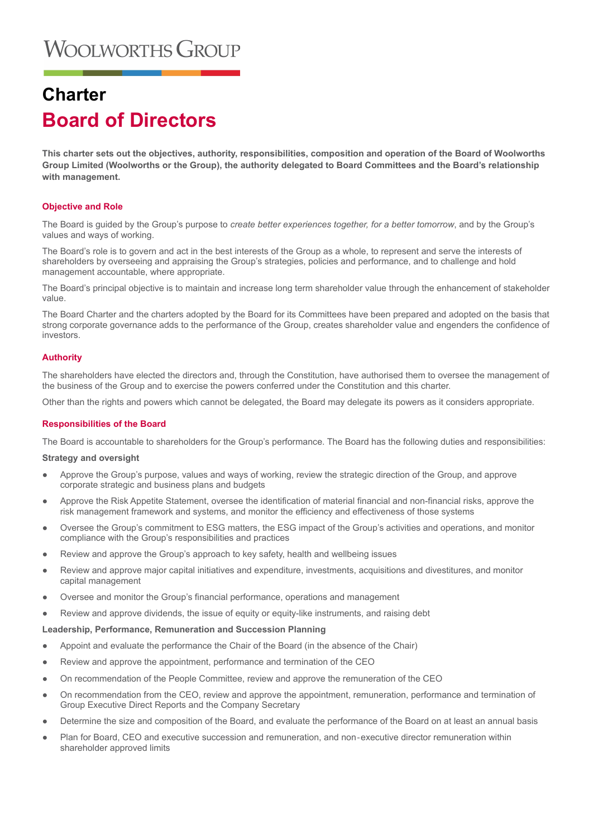# **Charter Board of Directors**

**This charter sets out the objectives, authority, responsibilities, composition and operation of the Board of Woolworths Group Limited (Woolworths or the Group), the authority delegated to Board Committees and the Board's relationship with management.**

# **Objective and Role**

The Board is guided by the Group's purpose to *create better experiences together, for a better tomorrow*, and by the Group's values and ways of working.

The Board's role is to govern and act in the best interests of the Group as a whole, to represent and serve the interests of shareholders by overseeing and appraising the Group's strategies, policies and performance, and to challenge and hold management accountable, where appropriate.

The Board's principal objective is to maintain and increase long term shareholder value through the enhancement of stakeholder value.

The Board Charter and the charters adopted by the Board for its Committees have been prepared and adopted on the basis that strong corporate governance adds to the performance of the Group, creates shareholder value and engenders the confidence of investors.

# **Authority**

The shareholders have elected the directors and, through the Constitution, have authorised them to oversee the management of the business of the Group and to exercise the powers conferred under the Constitution and this charter.

Other than the rights and powers which cannot be delegated, the Board may delegate its powers as it considers appropriate.

## **Responsibilities of the Board**

The Board is accountable to shareholders for the Group's performance. The Board has the following duties and responsibilities:

## **Strategy and oversight**

- Approve the Group's purpose, values and ways of working, review the strategic direction of the Group, and approve corporate strategic and business plans and budgets
- Approve the Risk Appetite Statement, oversee the identification of material financial and non-financial risks, approve the risk management framework and systems, and monitor the efficiency and effectiveness of those systems
- Oversee the Group's commitment to ESG matters, the ESG impact of the Group's activities and operations, and monitor compliance with the Group's responsibilities and practices
- Review and approve the Group's approach to key safety, health and wellbeing issues
- Review and approve major capital initiatives and expenditure, investments, acquisitions and divestitures, and monitor capital management
- Oversee and monitor the Group's financial performance, operations and management
- Review and approve dividends, the issue of equity or equity-like instruments, and raising debt

## **Leadership, Performance, Remuneration and Succession Planning**

- Appoint and evaluate the performance the Chair of the Board (in the absence of the Chair)
- Review and approve the appointment, performance and termination of the CEO
- On recommendation of the People Committee, review and approve the remuneration of the CEO
- On recommendation from the CEO, review and approve the appointment, remuneration, performance and termination of Group Executive Direct Reports and the Company Secretary
- Determine the size and composition of the Board, and evaluate the performance of the Board on at least an annual basis
- Plan for Board, CEO and executive succession and remuneration, and non-executive director remuneration within shareholder approved limits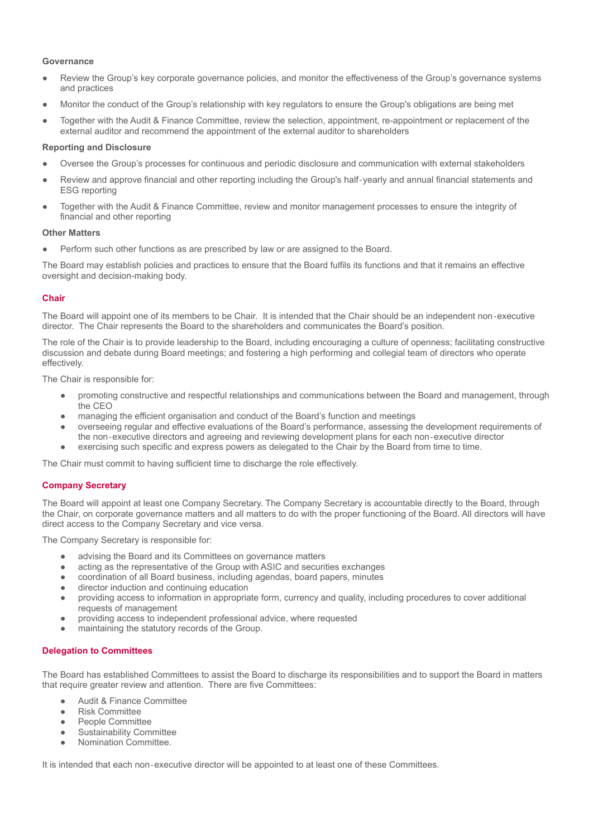# **Governance**

- Review the Group's key corporate governance policies, and monitor the effectiveness of the Group's governance systems and practices
- Monitor the conduct of the Group's relationship with key regulators to ensure the Group's obligations are being met
- Together with the Audit & Finance Committee, review the selection, appointment, re-appointment or replacement of the external auditor and recommend the appointment of the external auditor to shareholders

## **Reporting and Disclosure**

- Oversee the Group's processes for continuous and periodic disclosure and communication with external stakeholders
- Review and approve financial and other reporting including the Group's half-yearly and annual financial statements and ESG reporting
- Together with the Audit & Finance Committee, review and monitor management processes to ensure the integrity of financial and other reporting

## **Other Matters**

Perform such other functions as are prescribed by law or are assigned to the Board.

The Board may establish policies and practices to ensure that the Board fulfils its functions and that it remains an effective oversight and decision-making body.

# **Chair**

The Board will appoint one of its members to be Chair. It is intended that the Chair should be an independent non‐executive director. The Chair represents the Board to the shareholders and communicates the Board's position.

The role of the Chair is to provide leadership to the Board, including encouraging a culture of openness; facilitating constructive discussion and debate during Board meetings; and fostering a high performing and collegial team of directors who operate effectively.

The Chair is responsible for:

- promoting constructive and respectful relationships and communications between the Board and management, through the CEO
- managing the efficient organisation and conduct of the Board's function and meetings
- overseeing regular and effective evaluations of the Board's performance, assessing the development requirements of the non‐executive directors and agreeing and reviewing development plans for each non‐executive director
- exercising such specific and express powers as delegated to the Chair by the Board from time to time.

The Chair must commit to having sufficient time to discharge the role effectively.

# **Company Secretary**

The Board will appoint at least one Company Secretary. The Company Secretary is accountable directly to the Board, through the Chair, on corporate governance matters and all matters to do with the proper functioning of the Board. All directors will have direct access to the Company Secretary and vice versa.

The Company Secretary is responsible for:

- advising the Board and its Committees on governance matters
- acting as the representative of the Group with ASIC and securities exchanges
- coordination of all Board business, including agendas, board papers, minutes
- director induction and continuing education
- providing access to information in appropriate form, currency and quality, including procedures to cover additional requests of management
- providing access to independent professional advice, where requested
- maintaining the statutory records of the Group.

## **Delegation to Committees**

The Board has established Committees to assist the Board to discharge its responsibilities and to support the Board in matters that require greater review and attention. There are five Committees:

- **Audit & Finance Committee**
- **Risk Committee**
- People Committee
- Sustainability Committee
- Nomination Committee.

It is intended that each non-executive director will be appointed to at least one of these Committees.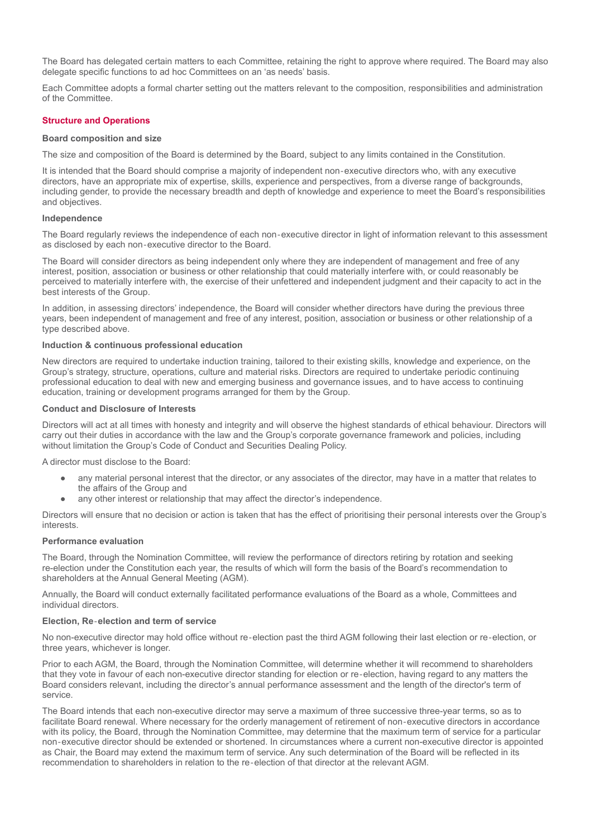The Board has delegated certain matters to each Committee, retaining the right to approve where required. The Board may also delegate specific functions to ad hoc Committees on an 'as needs' basis.

Each Committee adopts a formal charter setting out the matters relevant to the composition, responsibilities and administration of the Committee.

## **Structure and Operations**

#### **Board composition and size**

The size and composition of the Board is determined by the Board, subject to any limits contained in the Constitution.

It is intended that the Board should comprise a majority of independent non-executive directors who, with any executive directors, have an appropriate mix of expertise, skills, experience and perspectives, from a diverse range of backgrounds, including gender, to provide the necessary breadth and depth of knowledge and experience to meet the Board's responsibilities and objectives.

#### **Independence**

The Board regularly reviews the independence of each non-executive director in light of information relevant to this assessment as disclosed by each non‐executive director to the Board.

The Board will consider directors as being independent only where they are independent of management and free of any interest, position, association or business or other relationship that could materially interfere with, or could reasonably be perceived to materially interfere with, the exercise of their unfettered and independent judgment and their capacity to act in the best interests of the Group.

In addition, in assessing directors' independence, the Board will consider whether directors have during the previous three years, been independent of management and free of any interest, position, association or business or other relationship of a type described above.

#### **Induction & continuous professional education**

New directors are required to undertake induction training, tailored to their existing skills, knowledge and experience, on the Group's strategy, structure, operations, culture and material risks. Directors are required to undertake periodic continuing professional education to deal with new and emerging business and governance issues, and to have access to continuing education, training or development programs arranged for them by the Group.

## **Conduct and Disclosure of Interests**

Directors will act at all times with honesty and integrity and will observe the highest standards of ethical behaviour. Directors will carry out their duties in accordance with the law and the Group's corporate governance framework and policies, including without limitation the Group's Code of Conduct and Securities Dealing Policy.

A director must disclose to the Board:

- any material personal interest that the director, or any associates of the director, may have in a matter that relates to the affairs of the Group and
- any other interest or relationship that may affect the director's independence.

Directors will ensure that no decision or action is taken that has the effect of prioritising their personal interests over the Group's interests.

#### **Performance evaluation**

The Board, through the Nomination Committee, will review the performance of directors retiring by rotation and seeking re-election under the Constitution each year, the results of which will form the basis of the Board's recommendation to shareholders at the Annual General Meeting (AGM).

Annually, the Board will conduct externally facilitated performance evaluations of the Board as a whole, Committees and individual directors.

# **Election, Re**‐**election and term of service**

No non-executive director may hold office without re‐election past the third AGM following their last election or re‐election, or three years, whichever is longer.

Prior to each AGM, the Board, through the Nomination Committee, will determine whether it will recommend to shareholders that they vote in favour of each non-executive director standing for election or re‐election, having regard to any matters the Board considers relevant, including the director's annual performance assessment and the length of the director's term of service.

The Board intends that each non-executive director may serve a maximum of three successive three-year terms, so as to facilitate Board renewal. Where necessary for the orderly management of retirement of non‐executive directors in accordance with its policy, the Board, through the Nomination Committee, may determine that the maximum term of service for a particular non‐executive director should be extended or shortened. In circumstances where a current non-executive director is appointed as Chair, the Board may extend the maximum term of service. Any such determination of the Board will be reflected in its recommendation to shareholders in relation to the re‐election of that director at the relevant AGM.